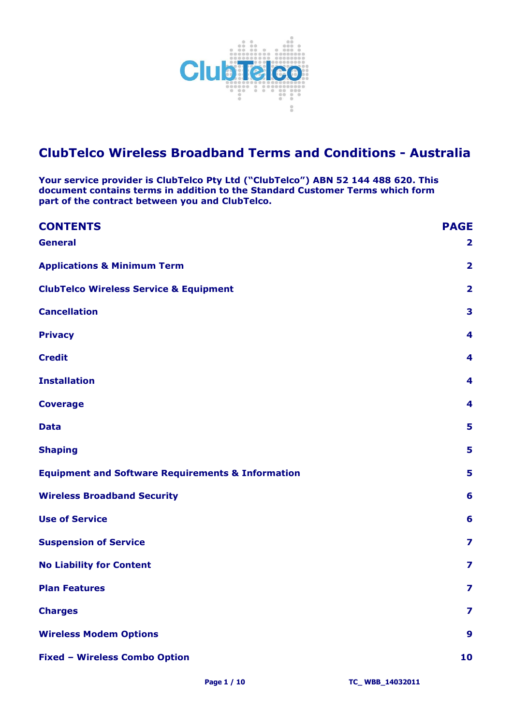

# **ClubTelco Wireless Broadband Terms and Conditions - Australia**

**Your service provider is ClubTelco Pty Ltd ("ClubTelco") ABN 52 144 488 620. This document contains terms in addition to the Standard Customer Terms which form part of the contract between you and ClubTelco.** 

| <b>CONTENTS</b>                                              | <b>PAGE</b>             |
|--------------------------------------------------------------|-------------------------|
| <b>General</b>                                               | $\overline{\mathbf{2}}$ |
| <b>Applications &amp; Minimum Term</b>                       | $\overline{\mathbf{2}}$ |
| <b>ClubTelco Wireless Service &amp; Equipment</b>            | $\overline{\mathbf{2}}$ |
| <b>Cancellation</b>                                          | 3                       |
| <b>Privacy</b>                                               | $\overline{4}$          |
| <b>Credit</b>                                                | 4                       |
| <b>Installation</b>                                          | 4                       |
| <b>Coverage</b>                                              | 4                       |
| <b>Data</b>                                                  | 5                       |
| <b>Shaping</b>                                               | 5                       |
| <b>Equipment and Software Requirements &amp; Information</b> | 5                       |
| <b>Wireless Broadband Security</b>                           | 6                       |
| <b>Use of Service</b>                                        | 6                       |
| <b>Suspension of Service</b>                                 | 7                       |
| <b>No Liability for Content</b>                              | $\overline{\mathbf{z}}$ |
| <b>Plan Features</b>                                         | $\overline{\mathbf{z}}$ |
| <b>Charges</b>                                               | $\overline{\mathbf{z}}$ |
| <b>Wireless Modem Options</b>                                | $\mathbf{9}$            |
| <b>Fixed - Wireless Combo Option</b>                         | 10                      |
|                                                              |                         |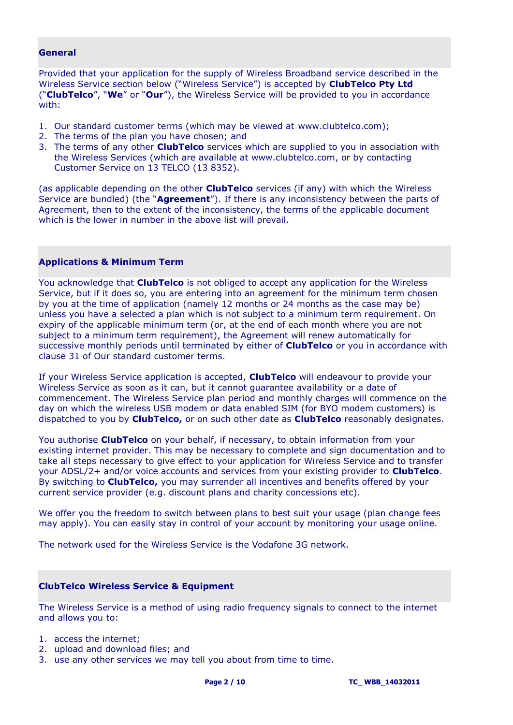# <span id="page-1-0"></span>**General**

Provided that your application for the supply of Wireless Broadband service described in the Wireless Service section below ("Wireless Service") is accepted by **ClubTelco Pty Ltd** ("**ClubTelco**", "**We**" or "**Our**"), the Wireless Service will be provided to you in accordance with:

- 1. Our standard customer terms (which may be viewed at www.clubtelco.com);
- 2. The terms of the plan you have chosen; and
- 3. The terms of any other **ClubTelco** services which are supplied to you in association with the Wireless Services (which are available at www.clubtelco.com, or by contacting Customer Service on 13 TELCO (13 8352).

(as applicable depending on the other **ClubTelco** services (if any) with which the Wireless Service are bundled) (the "**Agreement**"). If there is any inconsistency between the parts of Agreement, then to the extent of the inconsistency, the terms of the applicable document which is the lower in number in the above list will prevail.

## <span id="page-1-1"></span>**Applications & Minimum Term**

You acknowledge that **ClubTelco** is not obliged to accept any application for the Wireless Service, but if it does so, you are entering into an agreement for the minimum term chosen by you at the time of application (namely 12 months or 24 months as the case may be) unless you have a selected a plan which is not subject to a minimum term requirement. On expiry of the applicable minimum term (or, at the end of each month where you are not subject to a minimum term requirement), the Agreement will renew automatically for successive monthly periods until terminated by either of **ClubTelco** or you in accordance with clause 31 of Our standard customer terms.

If your Wireless Service application is accepted, **ClubTelco** will endeavour to provide your Wireless Service as soon as it can, but it cannot guarantee availability or a date of commencement. The Wireless Service plan period and monthly charges will commence on the day on which the wireless USB modem or data enabled SIM (for BYO modem customers) is dispatched to you by **ClubTelco,** or on such other date as **ClubTelco** reasonably designates.

You authorise **ClubTelco** on your behalf, if necessary, to obtain information from your existing internet provider. This may be necessary to complete and sign documentation and to take all steps necessary to give effect to your application for Wireless Service and to transfer your ADSL/2+ and/or voice accounts and services from your existing provider to **ClubTelco**. By switching to **ClubTelco,** you may surrender all incentives and benefits offered by your current service provider (e.g. discount plans and charity concessions etc).

We offer you the freedom to switch between plans to best suit your usage (plan change fees may apply). You can easily stay in control of your account by monitoring your usage online.

The network used for the Wireless Service is the Vodafone 3G network.

# <span id="page-1-2"></span>**ClubTelco Wireless Service & Equipment**

The Wireless Service is a method of using radio frequency signals to connect to the internet and allows you to:

- 1. access the internet;
- 2. upload and download files; and
- 3. use any other services we may tell you about from time to time.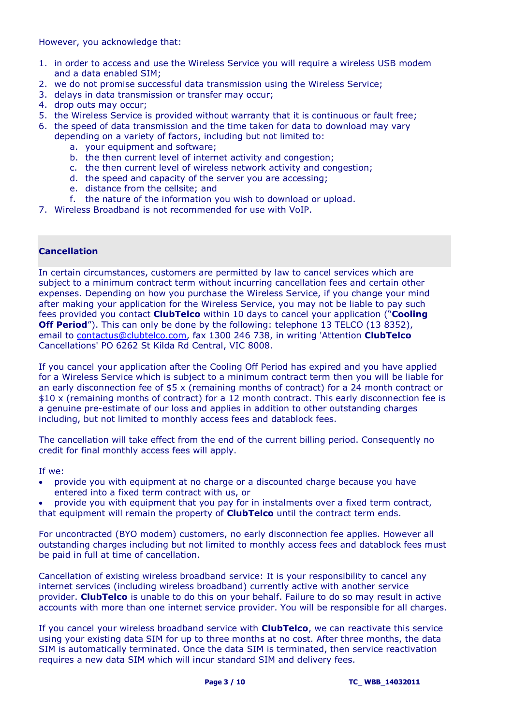However, you acknowledge that:

- 1. in order to access and use the Wireless Service you will require a wireless USB modem and a data enabled SIM;
- 2. we do not promise successful data transmission using the Wireless Service;
- 3. delays in data transmission or transfer may occur;
- 4. drop outs may occur;
- 5. the Wireless Service is provided without warranty that it is continuous or fault free;
- 6. the speed of data transmission and the time taken for data to download may vary depending on a variety of factors, including but not limited to:
	- a. your equipment and software;
	- b. the then current level of internet activity and congestion;
	- c. the then current level of wireless network activity and congestion;
	- d. the speed and capacity of the server you are accessing;
	- e. distance from the cellsite; and
	- f. the nature of the information you wish to download or upload.
- 7. Wireless Broadband is not recommended for use with VoIP.

## <span id="page-2-0"></span>**Cancellation**

In certain circumstances, customers are permitted by law to cancel services which are subject to a minimum contract term without incurring cancellation fees and certain other expenses. Depending on how you purchase the Wireless Service, if you change your mind after making your application for the Wireless Service, you may not be liable to pay such fees provided you contact **ClubTelco** within 10 days to cancel your application ("**Cooling Off Period**"). This can only be done by the following: telephone 13 TELCO (13 8352), email to [contactus@clubtelco.com,](mailto:contactus@clubtelco.com) fax 1300 246 738, in writing 'Attention **ClubTelco** Cancellations' PO 6262 St Kilda Rd Central, VIC 8008.

If you cancel your application after the Cooling Off Period has expired and you have applied for a Wireless Service which is subject to a minimum contract term then you will be liable for an early disconnection fee of \$5 x (remaining months of contract) for a 24 month contract or \$10 x (remaining months of contract) for a 12 month contract. This early disconnection fee is a genuine pre-estimate of our loss and applies in addition to other outstanding charges including, but not limited to monthly access fees and datablock fees.

The cancellation will take effect from the end of the current billing period. Consequently no credit for final monthly access fees will apply.

If we:

 provide you with equipment at no charge or a discounted charge because you have entered into a fixed term contract with us, or

 provide you with equipment that you pay for in instalments over a fixed term contract, that equipment will remain the property of **ClubTelco** until the contract term ends.

For uncontracted (BYO modem) customers, no early disconnection fee applies. However all outstanding charges including but not limited to monthly access fees and datablock fees must be paid in full at time of cancellation.

Cancellation of existing wireless broadband service: It is your responsibility to cancel any internet services (including wireless broadband) currently active with another service provider. **ClubTelco** is unable to do this on your behalf. Failure to do so may result in active accounts with more than one internet service provider. You will be responsible for all charges.

If you cancel your wireless broadband service with **ClubTelco**, we can reactivate this service using your existing data SIM for up to three months at no cost. After three months, the data SIM is automatically terminated. Once the data SIM is terminated, then service reactivation requires a new data SIM which will incur standard SIM and delivery fees.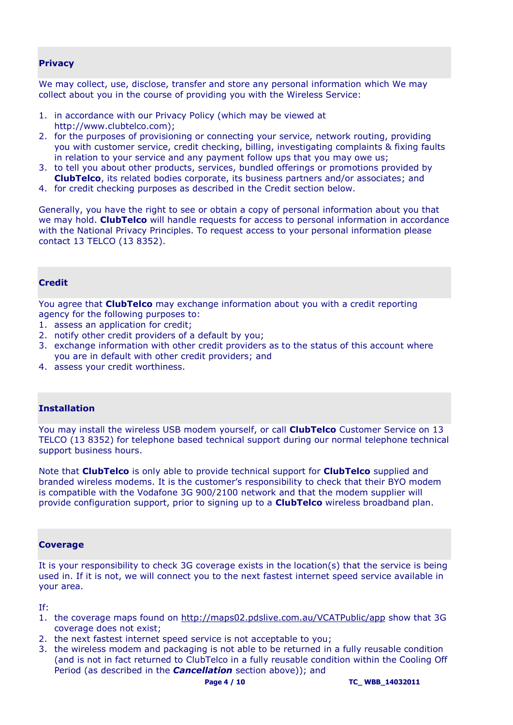# <span id="page-3-0"></span>**Privacy**

We may collect, use, disclose, transfer and store any personal information which We may collect about you in the course of providing you with the Wireless Service:

- 1. in accordance with our Privacy Policy (which may be viewed at http://www.clubtelco.com);
- 2. for the purposes of provisioning or connecting your service, network routing, providing you with customer service, credit checking, billing, investigating complaints & fixing faults in relation to your service and any payment follow ups that you may owe us;
- 3. to tell you about other products, services, bundled offerings or promotions provided by **ClubTelco**, its related bodies corporate, its business partners and/or associates; and
- 4. for credit checking purposes as described in the Credit section below.

Generally, you have the right to see or obtain a copy of personal information about you that we may hold. **ClubTelco** will handle requests for access to personal information in accordance with the National Privacy Principles. To request access to your personal information please contact 13 TELCO (13 8352).

# <span id="page-3-1"></span>**Credit**

You agree that **ClubTelco** may exchange information about you with a credit reporting agency for the following purposes to:

- 1. assess an application for credit;
- 2. notify other credit providers of a default by you;
- 3. exchange information with other credit providers as to the status of this account where you are in default with other credit providers; and
- 4. assess your credit worthiness.

#### <span id="page-3-2"></span>**Installation**

You may install the wireless USB modem yourself, or call **ClubTelco** Customer Service on 13 TELCO (13 8352) for telephone based technical support during our normal telephone technical support business hours.

Note that **ClubTelco** is only able to provide technical support for **ClubTelco** supplied and branded wireless modems. It is the customer's responsibility to check that their BYO modem is compatible with the Vodafone 3G 900/2100 network and that the modem supplier will provide configuration support, prior to signing up to a **ClubTelco** wireless broadband plan.

#### <span id="page-3-3"></span>**Coverage**

It is your responsibility to check 3G coverage exists in the location(s) that the service is being used in. If it is not, we will connect you to the next fastest internet speed service available in your area.

If:

- 1. the coverage maps found on<http://maps02.pdslive.com.au/VCATPublic/app> show that 3G coverage does not exist;
- 2. the next fastest internet speed service is not acceptable to you;
- 3. the wireless modem and packaging is not able to be returned in a fully reusable condition (and is not in fact returned to ClubTelco in a fully reusable condition within the Cooling Off Period (as described in the *Cancellation* section above)); and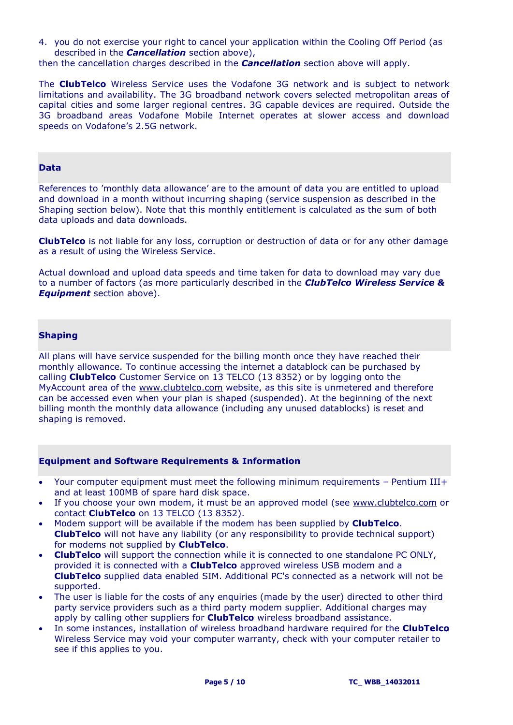4. you do not exercise your right to cancel your application within the Cooling Off Period (as described in the *Cancellation* section above),

then the cancellation charges described in the *Cancellation* section above will apply.

The **ClubTelco** Wireless Service uses the Vodafone 3G network and is subject to network limitations and availability. The 3G broadband network covers selected metropolitan areas of capital cities and some larger regional centres. 3G capable devices are required. Outside the 3G broadband areas Vodafone Mobile Internet operates at slower access and download speeds on Vodafone's 2.5G network.

## <span id="page-4-0"></span>**Data**

References to 'monthly data allowance' are to the amount of data you are entitled to upload and download in a month without incurring shaping (service suspension as described in the Shaping section below). Note that this monthly entitlement is calculated as the sum of both data uploads and data downloads.

**ClubTelco** is not liable for any loss, corruption or destruction of data or for any other damage as a result of using the Wireless Service.

Actual download and upload data speeds and time taken for data to download may vary due to a number of factors (as more particularly described in the *ClubTelco Wireless Service & Equipment* section above).

### <span id="page-4-1"></span>**Shaping**

All plans will have service suspended for the billing month once they have reached their monthly allowance. To continue accessing the internet a datablock can be purchased by calling **ClubTelco** Customer Service on 13 TELCO (13 8352) or by logging onto the MyAccount area of the [www.clubtelco.com](http://www.gotalk.com.au/) website, as this site is unmetered and therefore can be accessed even when your plan is shaped (suspended). At the beginning of the next billing month the monthly data allowance (including any unused datablocks) is reset and shaping is removed.

#### <span id="page-4-2"></span>**Equipment and Software Requirements & Information**

- Your computer equipment must meet the following minimum requirements Pentium III+ and at least 100MB of spare hard disk space.
- If you choose your own modem, it must be an approved model (see [www.clubtelco.com](http://www.gotalk.com.au/) or contact **ClubTelco** on 13 TELCO (13 8352).
- Modem support will be available if the modem has been supplied by **ClubTelco**. **ClubTelco** will not have any liability (or any responsibility to provide technical support) for modems not supplied by **ClubTelco**.
- **ClubTelco** will support the connection while it is connected to one standalone PC ONLY, provided it is connected with a **ClubTelco** approved wireless USB modem and a **ClubTelco** supplied data enabled SIM. Additional PC's connected as a network will not be supported.
- The user is liable for the costs of any enquiries (made by the user) directed to other third party service providers such as a third party modem supplier. Additional charges may apply by calling other suppliers for **ClubTelco** wireless broadband assistance.
- In some instances, installation of wireless broadband hardware required for the **ClubTelco** Wireless Service may void your computer warranty, check with your computer retailer to see if this applies to you.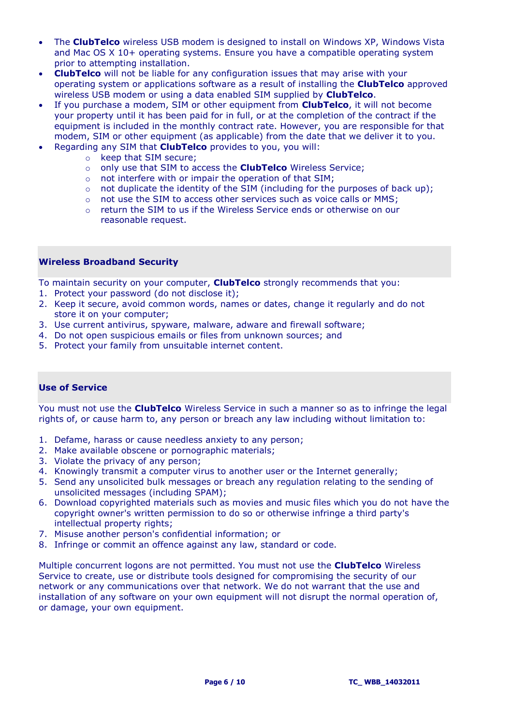- The **ClubTelco** wireless USB modem is designed to install on Windows XP, Windows Vista and Mac OS X 10+ operating systems. Ensure you have a compatible operating system prior to attempting installation.
- **ClubTelco** will not be liable for any configuration issues that may arise with your operating system or applications software as a result of installing the **ClubTelco** approved wireless USB modem or using a data enabled SIM supplied by **ClubTelco**.
- If you purchase a modem, SIM or other equipment from **ClubTelco**, it will not become your property until it has been paid for in full, or at the completion of the contract if the equipment is included in the monthly contract rate. However, you are responsible for that modem, SIM or other equipment (as applicable) from the date that we deliver it to you.
- Regarding any SIM that **ClubTelco** provides to you, you will:
	- o keep that SIM secure;
	- o only use that SIM to access the **ClubTelco** Wireless Service;
	- o not interfere with or impair the operation of that SIM;
	- $\circ$  not duplicate the identity of the SIM (including for the purposes of back up);
	- o not use the SIM to access other services such as voice calls or MMS;
	- o return the SIM to us if the Wireless Service ends or otherwise on our reasonable request.

# <span id="page-5-0"></span>**Wireless Broadband Security**

To maintain security on your computer, **ClubTelco** strongly recommends that you:

- 1. Protect your password (do not disclose it);
- 2. Keep it secure, avoid common words, names or dates, change it regularly and do not store it on your computer;
- 3. Use current antivirus, spyware, malware, adware and firewall software;
- 4. Do not open suspicious emails or files from unknown sources; and
- 5. Protect your family from unsuitable internet content.

# <span id="page-5-1"></span>**Use of Service**

You must not use the **ClubTelco** Wireless Service in such a manner so as to infringe the legal rights of, or cause harm to, any person or breach any law including without limitation to:

- 1. Defame, harass or cause needless anxiety to any person;
- 2. Make available obscene or pornographic materials;
- 3. Violate the privacy of any person;
- 4. Knowingly transmit a computer virus to another user or the Internet generally;
- 5. Send any unsolicited bulk messages or breach any regulation relating to the sending of unsolicited messages (including SPAM);
- 6. Download copyrighted materials such as movies and music files which you do not have the copyright owner's written permission to do so or otherwise infringe a third party's intellectual property rights;
- 7. Misuse another person's confidential information; or
- 8. Infringe or commit an offence against any law, standard or code.

Multiple concurrent logons are not permitted. You must not use the **ClubTelco** Wireless Service to create, use or distribute tools designed for compromising the security of our network or any communications over that network. We do not warrant that the use and installation of any software on your own equipment will not disrupt the normal operation of, or damage, your own equipment.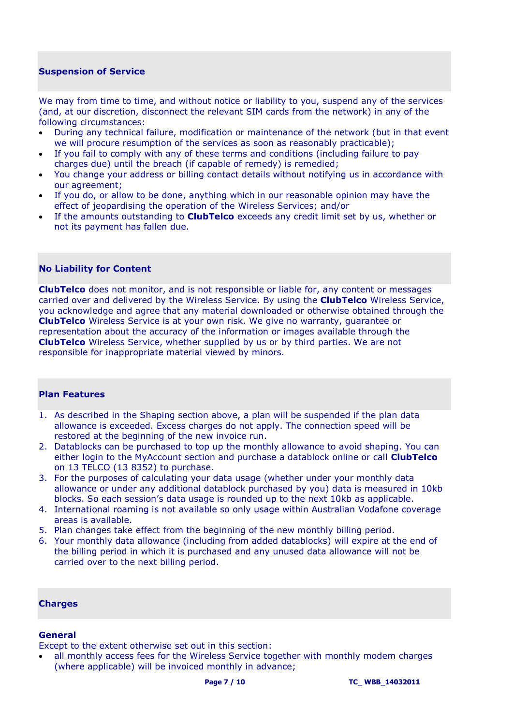# <span id="page-6-0"></span>**Suspension of Service**

We may from time to time, and without notice or liability to you, suspend any of the services (and, at our discretion, disconnect the relevant SIM cards from the network) in any of the following circumstances:

- During any technical failure, modification or maintenance of the network (but in that event we will procure resumption of the services as soon as reasonably practicable);
- If you fail to comply with any of these terms and conditions (including failure to pay charges due) until the breach (if capable of remedy) is remedied;
- You change your address or billing contact details without notifying us in accordance with our agreement;
- If you do, or allow to be done, anything which in our reasonable opinion may have the effect of jeopardising the operation of the Wireless Services; and/or
- If the amounts outstanding to **ClubTelco** exceeds any credit limit set by us, whether or not its payment has fallen due.

### <span id="page-6-1"></span>**No Liability for Content**

**ClubTelco** does not monitor, and is not responsible or liable for, any content or messages carried over and delivered by the Wireless Service. By using the **ClubTelco** Wireless Service, you acknowledge and agree that any material downloaded or otherwise obtained through the **ClubTelco** Wireless Service is at your own risk. We give no warranty, guarantee or representation about the accuracy of the information or images available through the **ClubTelco** Wireless Service, whether supplied by us or by third parties. We are not responsible for inappropriate material viewed by minors.

## <span id="page-6-2"></span>**Plan Features**

- 1. As described in the Shaping section above, a plan will be suspended if the plan data allowance is exceeded. Excess charges do not apply. The connection speed will be restored at the beginning of the new invoice run.
- 2. Datablocks can be purchased to top up the monthly allowance to avoid shaping. You can either login to the MyAccount section and purchase a datablock online or call **ClubTelco** on 13 TELCO (13 8352) to purchase.
- 3. For the purposes of calculating your data usage (whether under your monthly data allowance or under any additional datablock purchased by you) data is measured in 10kb blocks. So each session's data usage is rounded up to the next 10kb as applicable.
- 4. International roaming is not available so only usage within Australian Vodafone coverage areas is available.
- 5. Plan changes take effect from the beginning of the new monthly billing period.
- 6. Your monthly data allowance (including from added datablocks) will expire at the end of the billing period in which it is purchased and any unused data allowance will not be carried over to the next billing period.

#### <span id="page-6-3"></span>**Charges**

#### **General**

Except to the extent otherwise set out in this section:

 all monthly access fees for the Wireless Service together with monthly modem charges (where applicable) will be invoiced monthly in advance;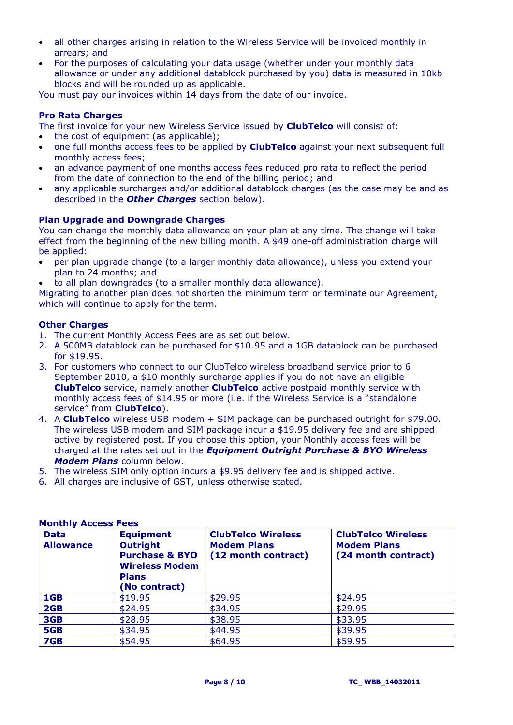- all other charges arising in relation to the Wireless Service will be invoiced monthly in arrears; and
- For the purposes of calculating your data usage (whether under your monthly data allowance or under any additional datablock purchased by you) data is measured in 10kb blocks and will be rounded up as applicable.

You must pay our invoices within 14 days from the date of our invoice.

# **Pro Rata Charges**

The first invoice for your new Wireless Service issued by **ClubTelco** will consist of:

- the cost of equipment (as applicable);
- one full months access fees to be applied by **ClubTelco** against your next subsequent full monthly access fees;
- an advance payment of one months access fees reduced pro rata to reflect the period from the date of connection to the end of the billing period; and
- any applicable surcharges and/or additional datablock charges (as the case may be and as described in the *Other Charges* section below).

# **Plan Upgrade and Downgrade Charges**

You can change the monthly data allowance on your plan at any time. The change will take effect from the beginning of the new billing month. A \$49 one-off administration charge will be applied:

- per plan upgrade change (to a larger monthly data allowance), unless you extend your plan to 24 months; and
- to all plan downgrades (to a smaller monthly data allowance).

Migrating to another plan does not shorten the minimum term or terminate our Agreement, which will continue to apply for the term.

# **Other Charges**

- 1. The current Monthly Access Fees are as set out below.
- 2. A 500MB datablock can be purchased for \$10.95 and a 1GB datablock can be purchased for \$19.95.
- 3. For customers who connect to our ClubTelco wireless broadband service prior to 6 September 2010, a \$10 monthly surcharge applies if you do not have an eligible **ClubTelco** service, namely another **ClubTelco** active postpaid monthly service with monthly access fees of \$14.95 or more (i.e. if the Wireless Service is a "standalone service" from **ClubTelco**).
- 4. A **ClubTelco** wireless USB modem + SIM package can be purchased outright for \$79.00. The wireless USB modem and SIM package incur a \$19.95 delivery fee and are shipped active by registered post. If you choose this option, your Monthly access fees will be charged at the rates set out in the *Equipment Outright Purchase & BYO Wireless Modem Plans* column below.
- 5. The wireless SIM only option incurs a \$9.95 delivery fee and is shipped active.
- 6. All charges are inclusive of GST, unless otherwise stated.

| <b>Data</b><br><b>Allowance</b> | <b>Equipment</b><br><b>Outright</b><br><b>Purchase &amp; BYO</b><br><b>Wireless Modem</b><br><b>Plans</b><br>(No contract) | <b>ClubTelco Wireless</b><br><b>Modem Plans</b><br>(12 month contract) | <b>ClubTelco Wireless</b><br><b>Modem Plans</b><br>(24 month contract) |
|---------------------------------|----------------------------------------------------------------------------------------------------------------------------|------------------------------------------------------------------------|------------------------------------------------------------------------|
| 1GB                             | \$19.95                                                                                                                    | \$29.95                                                                | \$24.95                                                                |
| 2GB                             | \$24.95                                                                                                                    | \$34.95                                                                | \$29.95                                                                |
| 3GB                             | \$28.95                                                                                                                    | \$38.95                                                                | \$33.95                                                                |
| 5GB                             | \$34.95                                                                                                                    | \$44.95                                                                | \$39.95                                                                |
| 7GB                             | \$54.95                                                                                                                    | \$64.95                                                                | \$59.95                                                                |

# **Monthly Access Fees**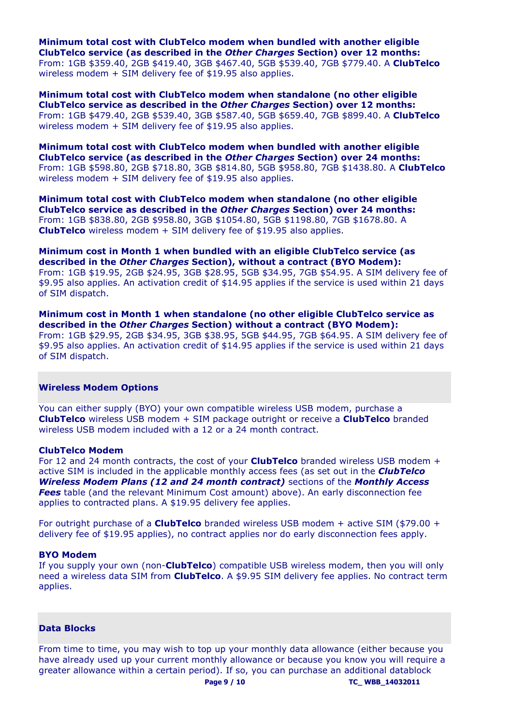**Minimum total cost with ClubTelco modem when bundled with another eligible ClubTelco service (as described in the** *Other Charges* **Section) over 12 months:**  From: 1GB \$359.40, 2GB \$419.40, 3GB \$467.40, 5GB \$539.40, 7GB \$779.40. A **ClubTelco** wireless modem + SIM delivery fee of \$19.95 also applies.

**Minimum total cost with ClubTelco modem when standalone (no other eligible ClubTelco service as described in the** *Other Charges* **Section) over 12 months:** From: 1GB \$479.40, 2GB \$539.40, 3GB \$587.40, 5GB \$659.40, 7GB \$899.40. A **ClubTelco** wireless modem + SIM delivery fee of \$19.95 also applies.

**Minimum total cost with ClubTelco modem when bundled with another eligible ClubTelco service (as described in the** *Other Charges* **Section) over 24 months:**  From: 1GB \$598.80, 2GB \$718.80, 3GB \$814.80, 5GB \$958.80, 7GB \$1438.80. A **ClubTelco** wireless modem + SIM delivery fee of \$19.95 also applies.

**Minimum total cost with ClubTelco modem when standalone (no other eligible ClubTelco service as described in the** *Other Charges* **Section) over 24 months:** From: 1GB \$838.80, 2GB \$958.80, 3GB \$1054.80, 5GB \$1198.80, 7GB \$1678.80. A **ClubTelco** wireless modem + SIM delivery fee of \$19.95 also applies.

**Minimum cost in Month 1 when bundled with an eligible ClubTelco service (as described in the** *Other Charges* **Section), without a contract (BYO Modem):** From: 1GB \$19.95, 2GB \$24.95, 3GB \$28.95, 5GB \$34.95, 7GB \$54.95. A SIM delivery fee of \$9.95 also applies. An activation credit of \$14.95 applies if the service is used within 21 days of SIM dispatch.

**Minimum cost in Month 1 when standalone (no other eligible ClubTelco service as described in the** *Other Charges* **Section) without a contract (BYO Modem):** From: 1GB \$29.95, 2GB \$34.95, 3GB \$38.95, 5GB \$44.95, 7GB \$64.95. A SIM delivery fee of \$9.95 also applies. An activation credit of \$14.95 applies if the service is used within 21 days of SIM dispatch.

#### <span id="page-8-0"></span>**Wireless Modem Options**

You can either supply (BYO) your own compatible wireless USB modem, purchase a **ClubTelco** wireless USB modem + SIM package outright or receive a **ClubTelco** branded wireless USB modem included with a 12 or a 24 month contract.

#### **ClubTelco Modem**

For 12 and 24 month contracts, the cost of your **ClubTelco** branded wireless USB modem + active SIM is included in the applicable monthly access fees (as set out in the *ClubTelco Wireless Modem Plans (12 and 24 month contract)* sections of the *Monthly Access Fees* table (and the relevant Minimum Cost amount) above). An early disconnection fee applies to contracted plans. A \$19.95 delivery fee applies.

For outright purchase of a **ClubTelco** branded wireless USB modem + active SIM (\$79.00 + delivery fee of \$19.95 applies), no contract applies nor do early disconnection fees apply.

#### **BYO Modem**

If you supply your own (non-**ClubTelco**) compatible USB wireless modem, then you will only need a wireless data SIM from **ClubTelco**. A \$9.95 SIM delivery fee applies. No contract term applies.

## **Data Blocks**

From time to time, you may wish to top up your monthly data allowance (either because you have already used up your current monthly allowance or because you know you will require a greater allowance within a certain period). If so, you can purchase an additional datablock